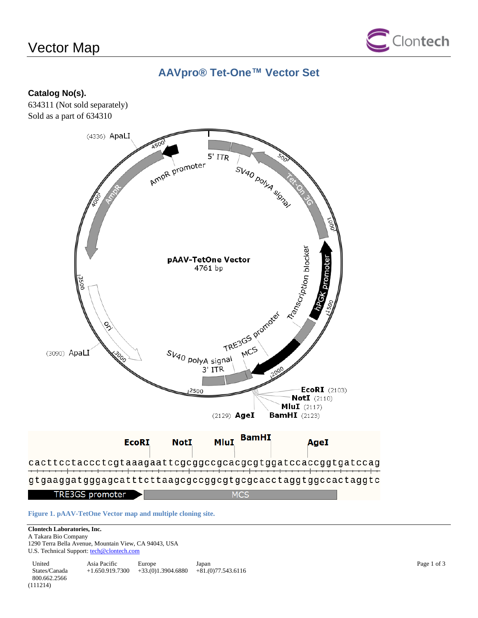# Vector Map



# **AAVpro® Tet-One™ Vector Set**

### **Catalog No(s).**

634311 (Not sold separately) Sold as a part of 634310



**Figure 1. pAAV-TetOne Vector map and multiple cloning site.**

### **Clontech Laboratories, Inc.**

A Takara Bio Company 1290 Terra Bella Avenue, Mountain View, CA 94043, USA U.S. Technical Support[: tech@clontech.com](mailto:tech@clontech.com)

United States/Canada 800.662.2566 Asia Pacific +1.650.919.7300 +33.(0)1.3904.6880 Europe Japan  $+81(0)77.543.6116$ (111214)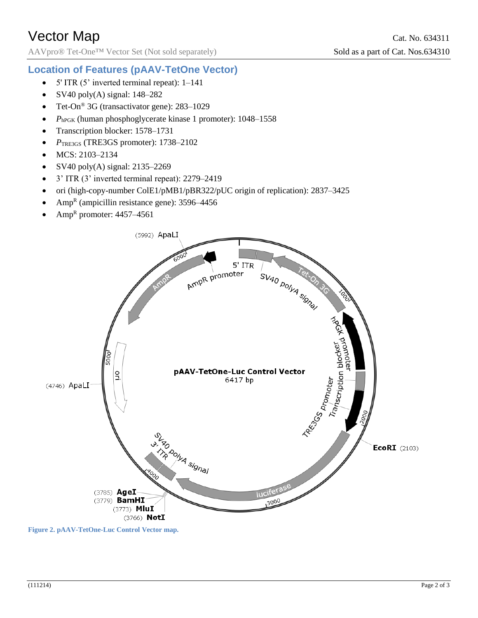AAVpro® Tet-One<sup>™</sup> Vector Set (Not sold separately) Sold as a part of Cat. Nos.634310

## **Location of Features (pAAV-TetOne Vector)**

- $\bullet$  5' ITR (5' inverted terminal repeat): 1–141
- SV40 poly(A) signal:  $148-282$
- Tet-On<sup>®</sup> 3G (transactivator gene): 283–1029
- *PhPGK* (human phosphoglycerate kinase 1 promoter): 1048–1558
- Transcription blocker: 1578–1731
- *P*TRE3GS (TRE3GS promoter): 1738–2102
- MCS: 2103–2134
- SV40 poly(A) signal:  $2135-2269$
- 3' ITR (3' inverted terminal repeat): 2279–2419
- ori (high-copy-number ColE1/pMB1/pBR322/pUC origin of replication): 2837–3425
- Amp<sup>R</sup> (ampicillin resistance gene):  $3596-4456$
- Amp<sup>R</sup> promoter: 4457–4561



**Figure 2. pAAV-TetOne-Luc Control Vector map.**